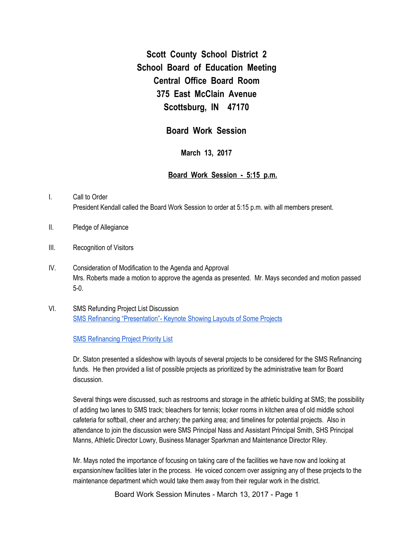**Scott County School District 2 School Board of Education Meeting Central Office Board Room 375 East McClain Avenue Scottsburg, IN 47170**

**Board Work Session**

**March 13, 2017**

## **Board Work Session - 5:15 p.m.**

- I. Call to Order President Kendall called the Board Work Session to order at 5:15 p.m. with all members present.
- II. Pledge of Allegiance
- III. Recognition of Visitors
- IV. Consideration of Modification to the Agenda and Approval Mrs. Roberts made a motion to approve the agenda as presented. Mr. Mays seconded and motion passed 5-0.
- VI. SMS Refunding Project List Discussion SMS Refinancing ["Presentation"-](https://docs.google.com/a/scsd2.k12.in.us/presentation/d/1pe3BMUZunT2-qHWusBD5S3kGuz4JiJUca14W7hstl9o/edit?usp=sharing) Keynote Showing Layouts of Some Projects

SMS [Refinancing](https://docs.google.com/a/scsd2.k12.in.us/spreadsheets/d/1pWH3rbchcrrGXVxMMEs2ujL9rvqQGHh7KjK2C-ZYbQQ/edit?usp=sharing) Project Priority List

Dr. Slaton presented a slideshow with layouts of several projects to be considered for the SMS Refinancing funds. He then provided a list of possible projects as prioritized by the administrative team for Board discussion.

Several things were discussed, such as restrooms and storage in the athletic building at SMS; the possibility of adding two lanes to SMS track; bleachers for tennis; locker rooms in kitchen area of old middle school cafeteria for softball, cheer and archery; the parking area; and timelines for potential projects. Also in attendance to join the discussion were SMS Principal Nass and Assistant Principal Smith, SHS Principal Manns, Athletic Director Lowry, Business Manager Sparkman and Maintenance Director Riley.

Mr. Mays noted the importance of focusing on taking care of the facilities we have now and looking at expansion/new facilities later in the process. He voiced concern over assigning any of these projects to the maintenance department which would take them away from their regular work in the district.

Board Work Session Minutes - March 13, 2017 - Page 1